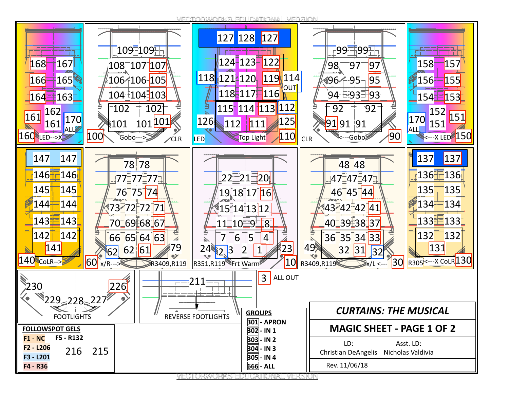19 VECTORWORKS EDUCATIONAL VERSION